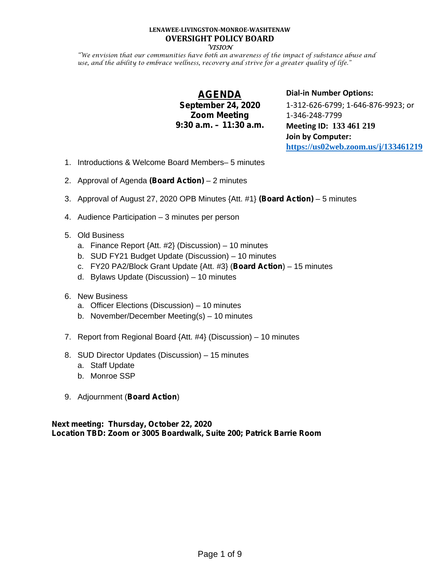#### **LENAWEE-LIVINGSTON-MONROE-WASHTENAW OVERSIGHT POLICY BOARD VISION**

"We envision that our communities have both an awareness of the impact of substance abuse and use, and the ability to embrace wellness, recovery and strive for a greater quality of life."

# **AGENDA**

### **September 24, 2020 Zoom Meeting 9:30 a.m. – 11:30 a.m.**

**Dial-in Number Options:** 1-312-626-6799; 1-646-876-9923; or 1-346-248-7799 **Meeting ID: 133 461 219 Join by Computer: https://us02web.zoom.us/j/133461219**

- 1. Introductions & Welcome Board Members– 5 minutes
- 2. Approval of Agenda **(Board Action)** 2 minutes
- 3. Approval of August 27, 2020 OPB Minutes {Att. #1} **(Board Action)** 5 minutes
- 4. Audience Participation 3 minutes per person
- 5. Old Business
	- a. Finance Report  $\{Att. #2\}$  (Discussion) 10 minutes
	- b. SUD FY21 Budget Update (Discussion) 10 minutes
	- c. FY20 PA2/Block Grant Update {Att. #3} (**Board Action**) 15 minutes
	- d. Bylaws Update (Discussion) 10 minutes
- 6. New Business
	- a. Officer Elections (Discussion) 10 minutes
	- b. November/December Meeting(s) 10 minutes
- 7. Report from Regional Board  $\{Att. #4\}$  (Discussion) 10 minutes
- 8. SUD Director Updates (Discussion) 15 minutes
	- a. Staff Update
	- b. Monroe SSP
- 9. Adjournment (**Board Action**)

**Next meeting: Thursday, October 22, 2020 Location TBD: Zoom or 3005 Boardwalk, Suite 200; Patrick Barrie Room**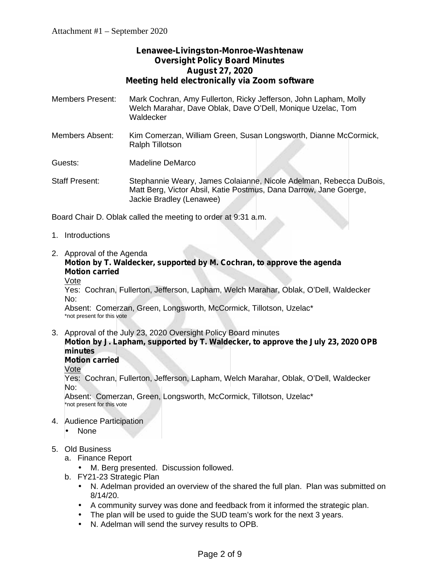## **Lenawee-Livingston-Monroe-Washtenaw Oversight Policy Board Minutes August 27, 2020 Meeting held electronically via Zoom software**

- Members Present: Mark Cochran, Amy Fullerton, Ricky Jefferson, John Lapham, Molly Welch Marahar, Dave Oblak, Dave O'Dell, Monique Uzelac, Tom Waldecker
- Members Absent: Kim Comerzan, William Green, Susan Longsworth, Dianne McCormick, Ralph Tillotson

Guests: Madeline DeMarco

Staff Present: Stephannie Weary, James Colaianne, Nicole Adelman, Rebecca DuBois, Matt Berg, Victor Absil, Katie Postmus, Dana Darrow, Jane Goerge, Jackie Bradley (Lenawee)

Board Chair D. Oblak called the meeting to order at 9:31 a.m.

- 1. Introductions
- 2. Approval of the Agenda

### **Motion by T. Waldecker, supported by M. Cochran, to approve the agenda Motion carried**

Vote

Yes: Cochran, Fullerton, Jefferson, Lapham, Welch Marahar, Oblak, O'Dell, Waldecker No:

Absent: Comerzan, Green, Longsworth, McCormick, Tillotson, Uzelac\* \*not present for this vote

3. Approval of the July 23, 2020 Oversight Policy Board minutes **Motion by J. Lapham, supported by T. Waldecker, to approve the July 23, 2020 OPB minutes**

## **Motion carried**

Vote

Yes: Cochran, Fullerton, Jefferson, Lapham, Welch Marahar, Oblak, O'Dell, Waldecker No:

Absent: Comerzan, Green, Longsworth, McCormick, Tillotson, Uzelac\* \*not present for this vote

- 4. Audience Participation
	- J None
- 5. Old Business
	- a. Finance Report
		- M. Berg presented. Discussion followed.
	- b. FY21-23 Strategic Plan
		- N. Adelman provided an overview of the shared the full plan. Plan was submitted on 8/14/20.
		- A community survey was done and feedback from it informed the strategic plan.
		- The plan will be used to guide the SUD team's work for the next 3 years.
		- N. Adelman will send the survey results to OPB.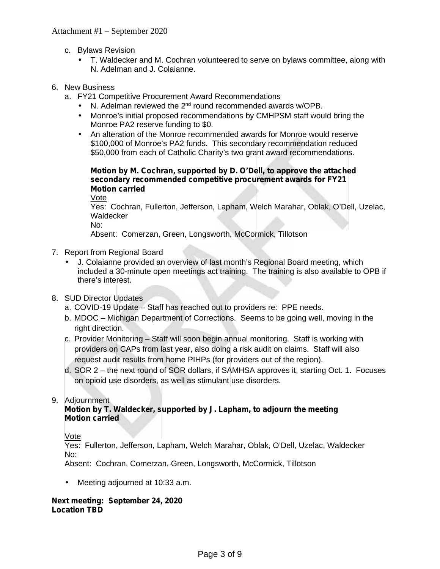- c. Bylaws Revision
	- T. Waldecker and M. Cochran volunteered to serve on bylaws committee, along with N. Adelman and J. Colaianne.

### 6. New Business

- a. FY21 Competitive Procurement Award Recommendations
	- $\int$  N. Adelman reviewed the 2<sup>nd</sup> round recommended awards w/OPB.
	- Monroe's initial proposed recommendations by CMHPSM staff would bring the Monroe PA2 reserve funding to \$0.
	- An alteration of the Monroe recommended awards for Monroe would reserve \$100,000 of Monroe's PA2 funds. This secondary recommendation reduced \$50,000 from each of Catholic Charity's two grant award recommendations.

### **Motion by M. Cochran, supported by D. O'Dell, to approve the attached secondary recommended competitive procurement awards for FY21 Motion carried**

Vote

Yes: Cochran, Fullerton, Jefferson, Lapham, Welch Marahar, Oblak, O'Dell, Uzelac, Waldecker

No:

Absent: Comerzan, Green, Longsworth, McCormick, Tillotson

- 7. Report from Regional Board
	- J. Colaianne provided an overview of last month's Regional Board meeting, which included a 30-minute open meetings act training. The training is also available to OPB if there's interest.
- 8. SUD Director Updates
	- a. COVID-19 Update Staff has reached out to providers re: PPE needs.
	- b. MDOC Michigan Department of Corrections. Seems to be going well, moving in the right direction.
	- c. Provider Monitoring Staff will soon begin annual monitoring. Staff is working with providers on CAPs from last year, also doing a risk audit on claims. Staff will also request audit results from home PIHPs (for providers out of the region).
	- d. SOR 2 the next round of SOR dollars, if SAMHSA approves it, starting Oct. 1. Focuses on opioid use disorders, as well as stimulant use disorders.

9. Adjournment

### **Motion by T. Waldecker, supported by J. Lapham, to adjourn the meeting Motion carried**

Vote

Yes: Fullerton, Jefferson, Lapham, Welch Marahar, Oblak, O'Dell, Uzelac, Waldecker No:

Absent: Cochran, Comerzan, Green, Longsworth, McCormick, Tillotson

Meeting adjourned at 10:33 a.m.

### **Next meeting: September 24, 2020 Location TBD**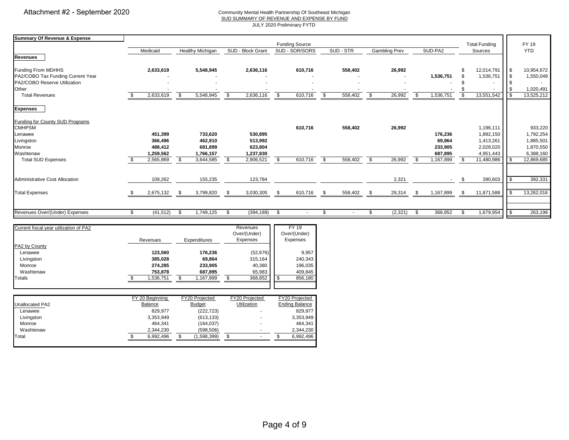#### Community Mental Health Partnership Of Southeast Michigan SUD SUMMARY OF REVENUE AND EXPENSE BY FUND

JULY 2020 Preliminary FYTD

| Summary Of Revenue & Expense           |     |           |      |                         |                |                          |                |                              |               |           |      |               |      |           |                |                      |            |            |
|----------------------------------------|-----|-----------|------|-------------------------|----------------|--------------------------|----------------|------------------------------|---------------|-----------|------|---------------|------|-----------|----------------|----------------------|------------|------------|
|                                        |     |           |      |                         |                |                          |                | <b>Funding Source</b>        |               |           |      |               |      |           |                | <b>Total Funding</b> |            | FY 19      |
| <b>Revenues</b>                        |     | Medicaid  |      | <b>Healthy Michigan</b> |                | SUD - Block Grant        |                | SUD - SOR/SORS               |               | SUD - STR |      | Gambling Prev |      | SUD-PA2   |                | Sources              |            | <b>YTD</b> |
|                                        |     |           |      |                         |                |                          |                |                              |               |           |      |               |      |           |                |                      |            |            |
| Funding From MDHHS                     |     | 2,633,619 |      | 5,548,945               |                | 2,636,116                |                | 610,716                      |               | 558,402   |      | 26,992        |      |           | \$             | 12,014,791           | $\sqrt{3}$ | 10,954,672 |
| PA2/COBO Tax Funding Current Year      |     |           |      |                         |                |                          |                |                              |               |           |      |               |      | 1,536,751 |                | 1,536,751            | <b>S</b>   | 1,550,049  |
| PA2/COBO Reserve Utilization           |     |           |      |                         |                |                          |                |                              |               |           |      |               |      |           |                |                      |            |            |
| Other                                  |     |           |      |                         |                |                          |                |                              |               |           |      |               |      |           |                |                      |            | 1,020,491  |
| <b>Total Revenues</b>                  |     | 2,633,619 | \$   | 5,548,945               | \$             | 2,636,116                | \$             | 610,716                      | \$            | 558,402   | - \$ | 26,992        | \$   | 1,536,751 | \$             | 13,551,542           | l \$       | 13,525,212 |
| <b>Expenses</b>                        |     |           |      |                         |                |                          |                |                              |               |           |      |               |      |           |                |                      |            |            |
| Funding for County SUD Programs        |     |           |      |                         |                |                          |                |                              |               |           |      |               |      |           |                |                      |            |            |
| <b>CMHPSM</b>                          |     |           |      |                         |                |                          |                | 610,716                      |               | 558,402   |      | 26,992        |      |           |                | 1,196,111            |            | 933,220    |
| Lenawee                                |     | 451,399   |      | 733,620                 |                | 530,895                  |                |                              |               |           |      |               |      | 176,236   |                | 1,892,150            |            | 1,792,254  |
| Livingston                             |     | 366,496   |      | 462,910                 |                | 513,992                  |                |                              |               |           |      |               |      | 69,864    |                | 1,413,261            |            | 1,885,501  |
| Monroe                                 |     | 488,412   |      | 681,899                 |                | 623,804                  |                |                              |               |           |      |               |      | 233,905   |                | 2,028,020            |            | 1,870,550  |
| Washtenaw                              |     | 1,259,562 |      | 1,766,157               |                | 1,237,830                |                |                              |               |           |      |               |      | 687,895   |                | 4,951,443            |            | 6,388,160  |
| <b>Total SUD Expenses</b>              |     | 2,565,869 | \$   | 3,644,585               | \$             | 2,906,521                | \$             | 610,716                      | $\mathbf{s}$  | 558,402   | \$   | 26,992        | - \$ | 1,167,899 |                | 11,480,986           | $\sqrt{3}$ | 12,869,685 |
|                                        |     |           |      |                         |                |                          |                |                              |               |           |      |               |      |           |                |                      |            |            |
| Administrative Cost Allocation         |     | 109,262   |      | 155,235                 |                | 123,784                  |                |                              |               |           |      | 2,321         |      | $\sim$    | -\$            | 390,603              | l \$       | 392,331    |
| <b>Total Expenses</b>                  | \$. | 2,675,132 | - \$ | 3,799,820               | \$             | 3,030,305                | - \$           | 610,716                      | \$            | 558,402   | \$   | 29,314        | -\$  | 1,167,899 | \$             | 11,871,588           | <b>S</b>   | 13,262,016 |
|                                        |     |           |      |                         |                |                          |                |                              |               |           |      |               |      |           |                |                      |            |            |
| Revenues Over/(Under) Expenses         | \$  | (41, 512) | \$   | 1,749,125               | $\mathfrak{L}$ | (394, 189)               | $\mathfrak{L}$ |                              | $\mathcal{L}$ |           | \$   | (2, 321)      | \$   | 368,852   | $\mathfrak{L}$ | 1,679,954            | $\sqrt{3}$ | 263,196    |
|                                        |     |           |      |                         |                |                          |                |                              |               |           |      |               |      |           |                |                      |            |            |
| Current fiscal year utilization of PA2 |     |           |      |                         |                | Revenues<br>Over/(Under) |                | <b>FY 19</b><br>Over/(Under) |               |           |      |               |      |           |                |                      |            |            |
|                                        |     | Revenues  |      | Expenditures            |                | Expenses                 |                | Expenses                     |               |           |      |               |      |           |                |                      |            |            |
| PA2 by County                          |     |           |      |                         |                |                          |                |                              |               |           |      |               |      |           |                |                      |            |            |
| Lenawee                                |     | 123,560   |      | 176,236                 |                | (52, 676)                |                | 9,957                        |               |           |      |               |      |           |                |                      |            |            |
| Livingston                             |     | 385,028   |      | 69,864                  |                | 315,164                  |                | 240,343                      |               |           |      |               |      |           |                |                      |            |            |
| Monroe                                 |     | 274,285   |      | 233,905                 |                | 40,380                   |                | 196,035                      |               |           |      |               |      |           |                |                      |            |            |

|                        | FY 20 Beginning | FY20 Projected | FY20 Projected     | FY20 Projected        |
|------------------------|-----------------|----------------|--------------------|-----------------------|
| <b>Unallocated PA2</b> | Balance         | <b>Budget</b>  | <b>Utilization</b> | <b>Ending Balance</b> |
| Lenawee                | 829.977         | (222.723)      |                    | 829.977               |
| Livingston             | 3,353,949       | (613, 133)     |                    | 3,353,949             |
| Monroe                 | 464.341         | (164, 037)     |                    | 464.341               |
| Washtenaw              | 2.344.230       | (598.506)      |                    | 2.344.230             |
| Total                  | 6.992.496       | (1,598,399)    |                    | 6,992,496             |
|                        |                 |                |                    |                       |

Washtenaw **753,878 687,895** 65,983 409,845 Totals \$ 1,536,751 \$ 1,167,899 \$ 368,852 \$ 856,180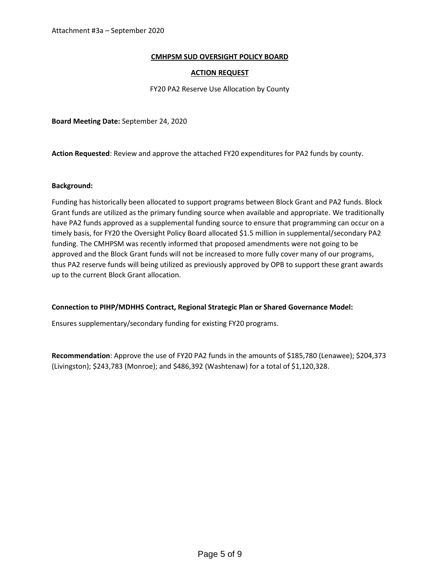### **CMHPSM SUD OVERSIGHT POLICY BOARD**

#### **ACTION REQUEST**

FY20 PA2 Reserve Use Allocation by County

**Board Meeting Date:** September 24, 2020

**Action Requested**: Review and approve the attached FY20 expenditures for PA2 funds by county.

#### **Background:**

Funding has historically been allocated to support programs between Block Grant and PA2 funds. Block Grant funds are utilized as the primary funding source when available and appropriate. We traditionally have PA2 funds approved as a supplemental funding source to ensure that programming can occur on a timely basis, for FY20 the Oversight Policy Board allocated \$1.5 million in supplemental/secondary PA2 funding. The CMHPSM was recently informed that proposed amendments were not going to be approved and the Block Grant funds will not be increased to more fully cover many of our programs, thus PA2 reserve funds will being utilized as previously approved by OPB to support these grant awards up to the current Block Grant allocation.

#### **Connection to PIHP/MDHHS Contract, Regional Strategic Plan or Shared Governance Model:**

Ensures supplementary/secondary funding for existing FY20 programs.

**Recommendation**: Approve the use of FY20 PA2 funds in the amounts of \$185,780 (Lenawee); \$204,373 (Livingston); \$243,783 (Monroe); and \$486,392 (Washtenaw) for a total of \$1,120,328.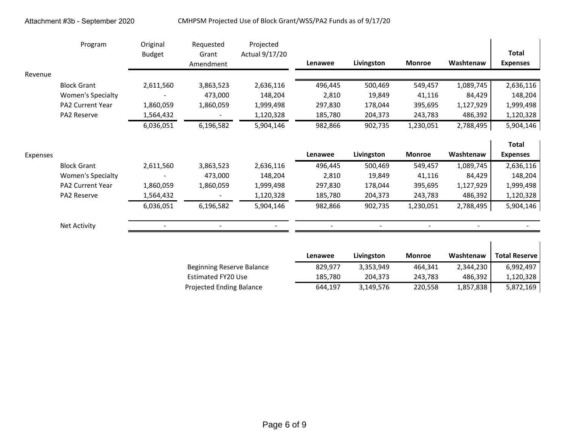|          | Program                  | Original<br><b>Budget</b> | Requested<br>Grant<br>Amendment | Projected<br>Actual 9/17/20 | Lenawee | Livingston | <b>Monroe</b> | Washtenaw | <b>Total</b><br><b>Expenses</b> |
|----------|--------------------------|---------------------------|---------------------------------|-----------------------------|---------|------------|---------------|-----------|---------------------------------|
| Revenue  |                          |                           |                                 |                             |         |            |               |           |                                 |
|          | <b>Block Grant</b>       | 2,611,560                 | 3,863,523                       | 2,636,116                   | 496,445 | 500,469    | 549,457       | 1,089,745 | 2,636,116                       |
|          | <b>Women's Specialty</b> |                           | 473,000                         | 148,204                     | 2,810   | 19,849     | 41,116        | 84,429    | 148,204                         |
|          | <b>PA2 Current Year</b>  | 1,860,059                 | 1,860,059                       | 1,999,498                   | 297,830 | 178,044    | 395,695       | 1,127,929 | 1,999,498                       |
|          | PA2 Reserve              | 1,564,432                 |                                 | 1,120,328                   | 185,780 | 204,373    | 243,783       | 486,392   | 1,120,328                       |
|          |                          | 6,036,051                 | 6,196,582                       | 5,904,146                   | 982,866 | 902,735    | 1,230,051     | 2,788,495 | 5,904,146                       |
|          |                          |                           |                                 |                             |         |            |               |           | <b>Total</b>                    |
| Expenses |                          |                           |                                 |                             | Lenawee | Livingston | <b>Monroe</b> | Washtenaw | <b>Expenses</b>                 |
|          | <b>Block Grant</b>       | 2,611,560                 | 3,863,523                       | 2,636,116                   | 496,445 | 500,469    | 549,457       | 1,089,745 | 2,636,116                       |
|          | Women's Specialty        |                           | 473,000                         | 148,204                     | 2,810   | 19,849     | 41,116        | 84,429    | 148,204                         |
|          | PA2 Current Year         | 1,860,059                 | 1,860,059                       | 1,999,498                   | 297,830 | 178,044    | 395,695       | 1,127,929 | 1,999,498                       |
|          | PA2 Reserve              | 1,564,432                 |                                 | 1,120,328                   | 185,780 | 204,373    | 243,783       | 486,392   | 1,120,328                       |
|          |                          | 6,036,051                 | 6,196,582                       | 5,904,146                   | 982,866 | 902,735    | 1,230,051     | 2,788,495 | 5,904,146                       |
|          | <b>Net Activity</b>      |                           |                                 |                             |         |            |               |           |                                 |

|                           | Lenawee | Livingston | <b>Monroe</b> | Washtenaw | <b>Total Reserve</b> |
|---------------------------|---------|------------|---------------|-----------|----------------------|
| Beginning Reserve Balance | 829.977 | 3,353,949  | 464.341       | 2,344,230 | 6,992,497            |
| Estimated FY20 Use        | 185.780 | 204.373    | 243.783       | 486,392   | 1,120,328            |
| Projected Ending Balance  | 644.197 | 3,149,576  | 220,558       | 1,857,838 | 5,872,169            |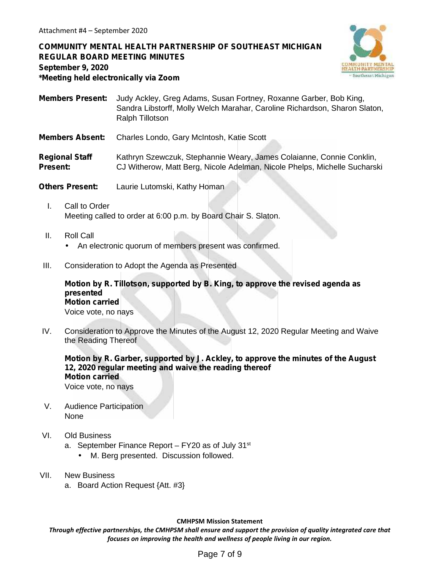**COMMUNITY MENTAL HEALTH PARTNERSHIP OF SOUTHEAST MICHIGAN REGULAR BOARD MEETING MINUTES September 9, 2020 \*Meeting held electronically via Zoom**



**Members Present:** Judy Ackley, Greg Adams, Susan Fortney, Roxanne Garber, Bob King, Sandra Libstorff, Molly Welch Marahar, Caroline Richardson, Sharon Slaton, Ralph Tillotson

**Members Absent:** Charles Londo, Gary McIntosh, Katie Scott

**Regional Staff** Kathryn Szewczuk, Stephannie Weary, James Colaianne, Connie Conklin, **Present:** CJ Witherow, Matt Berg, Nicole Adelman, Nicole Phelps, Michelle Sucharski

**Others Present:** Laurie Lutomski, Kathy Homan

- I. Call to Order Meeting called to order at 6:00 p.m. by Board Chair S. Slaton.
- II. Roll Call An electronic quorum of members present was confirmed.
- III. Consideration to Adopt the Agenda as Presented

**Motion by R. Tillotson, supported by B. King, to approve the revised agenda as presented Motion carried** Voice vote, no nays

IV. Consideration to Approve the Minutes of the August 12, 2020 Regular Meeting and Waive the Reading Thereof

**Motion by R. Garber, supported by J. Ackley, to approve the minutes of the August 12, 2020 regular meeting and waive the reading thereof Motion carried** Voice vote, no nays

- V. Audience Participation None
- VI. Old Business
	- a. September Finance Report  $-$  FY20 as of July 31 $\mathrm{^{st}}$ 
		- M. Berg presented. Discussion followed.
- VII. New Business
	- a. Board Action Request {Att. #3}

#### **CMHPSM Mission Statement**

*Through effective partnerships, the CMHPSM shall ensure and support the provision of quality integrated care that focuses on improving the health and wellness of people living in our region.*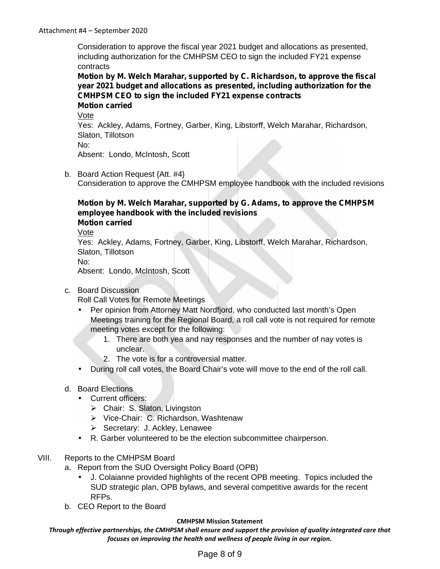Consideration to approve the fiscal year 2021 budget and allocations as presented, including authorization for the CMHPSM CEO to sign the included FY21 expense contracts

**Motion by M. Welch Marahar, supported by C. Richardson, to approve the fiscal year 2021 budget and allocations as presented, including authorization for the CMHPSM CEO to sign the included FY21 expense contracts Motion carried**

Vote

Yes: Ackley, Adams, Fortney, Garber, King, Libstorff, Welch Marahar, Richardson, Slaton, Tillotson

No:

Absent: Londo, McIntosh, Scott

b. Board Action Request {Att. #4} Consideration to approve the CMHPSM employee handbook with the included revisions

### **Motion by M. Welch Marahar, supported by G. Adams, to approve the CMHPSM employee handbook with the included revisions Motion carried**

Vote

Yes: Ackley, Adams, Fortney, Garber, King, Libstorff, Welch Marahar, Richardson, Slaton, Tillotson

No:

Absent: Londo, McIntosh, Scott

### c. Board Discussion

Roll Call Votes for Remote Meetings

- Per opinion from Attorney Matt Nordfjord, who conducted last month's Open Meetings training for the Regional Board, a roll call vote is not required for remote meeting votes except for the following:
	- 1. There are both yea and nay responses and the number of nay votes is unclear.
	- 2. The vote is for a controversial matter.
- During roll call votes, the Board Chair's vote will move to the end of the roll call.

## d. Board Elections

- Current officers:
	- Chair: S. Slaton, Livingston
	- Vice-Chair: C. Richardson, Washtenaw
	- Secretary: J. Ackley, Lenawee
- R. Garber volunteered to be the election subcommittee chairperson.
- VIII. Reports to the CMHPSM Board
	- a. Report from the SUD Oversight Policy Board (OPB)
		- J. Colaianne provided highlights of the recent OPB meeting. Topics included the SUD strategic plan, OPB bylaws, and several competitive awards for the recent RFPs.
	- b. CEO Report to the Board

### **CMHPSM Mission Statement**

*Through effective partnerships, the CMHPSM shall ensure and support the provision of quality integrated care that focuses on improving the health and wellness of people living in our region.*